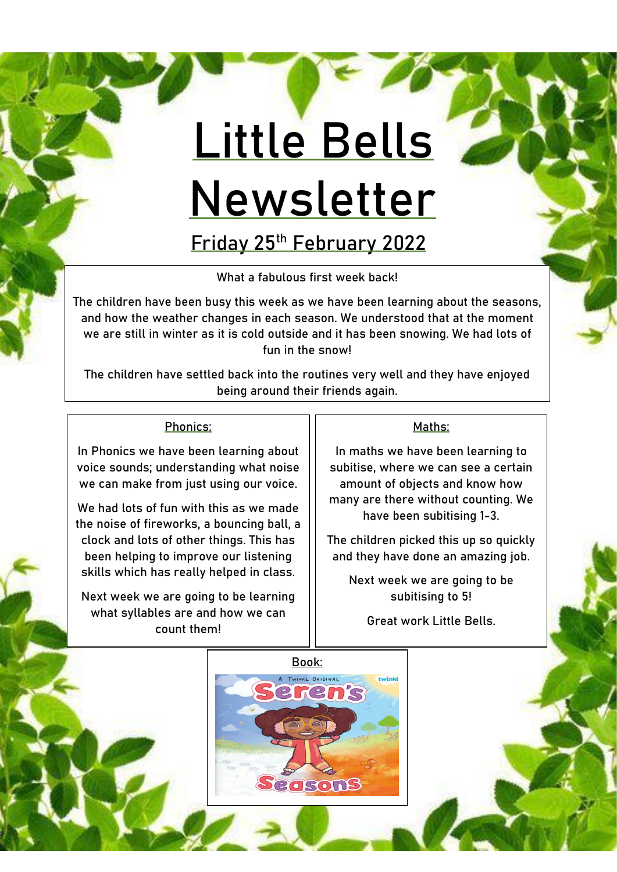# **Little Bells Newsletter**

**Friday 25th February 2022**

What a fabulous first week back!

The children have been busy this week as we have been learning about the seasons, and how the weather changes in each season. We understood that at the moment we are still in winter as it is cold outside and it has been snowing. We had lots of fun in the snow!

The children have settled back into the routines very well and they have enjoyed being around their friends again.

#### Phonics:

In Phonics we have been learning about voice sounds; understanding what noise we can make from just using our voice.

We had lots of fun with this as we made the noise of fireworks, a bouncing ball, a clock and lots of other things. This has been helping to improve our listening skills which has really helped in class.

Next week we are going to be learning what syllables are and how we can count them!

#### Maths:

In maths we have been learning to subitise, where we can see a certain amount of objects and know how many are there without counting. We have been subitising 1-3.

The children picked this up so quickly and they have done an amazing job.

Next week we are going to be subitising to 5!

Great work Little Bells.